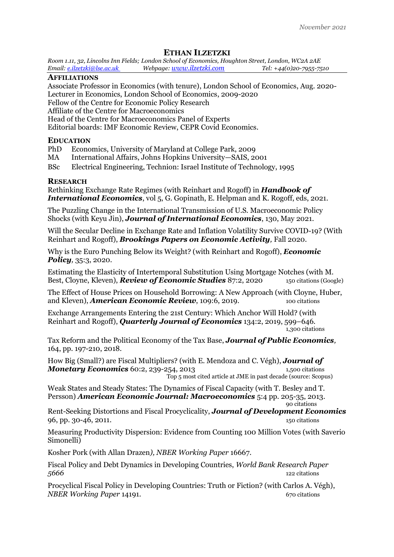# **ETHAN ILZETZKI**

*Room 1.11, 32, Lincolns Inn Fields; London School of Economics, Houghton Street, London, WC2A 2AE Email: [e.ilzetzki@lse.ac.uk](mailto:e.ilzetzki@lse.ac.uk) Webpage: [www.ilzetzki.com](http://www.ilzetzki.com/) Tel: +44(0)20-7955-7510*

# **AFFILIATIONS**

Associate Professor in Economics (with tenure), London School of Economics, Aug. 2020- Lecturer in Economics, London School of Economics, 2009-2020 Fellow of the Centre for Economic Policy Research Affiliate of the Centre for Macroeconomics

Head of the Centre for Macroeconomics Panel of Experts

Editorial boards: IMF Economic Review, CEPR Covid Economics.

# **EDUCATION**

- PhD Economics, University of Maryland at College Park, 2009
- MA International Affairs, Johns Hopkins University—SAIS, 2001
- BSc Electrical Engineering, Technion: Israel Institute of Technology, 1995

# **RESEARCH**

Rethinking Exchange Rate Regimes (with Reinhart and Rogoff) in *Handbook of International Economics*, vol 5, G. Gopinath, E. Helpman and K. Rogoff, eds, 2021.

The Puzzling Change in the International Transmission of U.S. Macroeconomic Policy Shocks (with Keyu Jin), *Journal of International Economics*, 130, May 2021.

Will the Secular Decline in Exchange Rate and Inflation Volatility Survive COVID-19? (With Reinhart and Rogoff), *Brookings Papers on Economic Activity,* Fall 2020.

Why is the Euro Punching Below its Weight? (with Reinhart and Rogoff), *Economic Policy,* 35:3, 2020.

Estimating the Elasticity of Intertemporal Substitution Using Mortgage Notches (with M. Best, Cloyne, Kleven), *Review of Economic Studies* 87:2, 2020 150 citations (Google)

The Effect of House Prices on Household Borrowing: A New Approach (with Cloyne, Huber, and Kleven), *American Economic Review*, 109:6, 2019. 100 citations

Exchange Arrangements Entering the 21st Century: Which Anchor Will Hold? (with Reinhart and Rogoff), *Quarterly Journal of Economics* 134:2, 2019, 599–646. 1,300 citations

Tax Reform and the Political Economy of the Tax Base, *Journal of Public Economics,*  164, pp. 197-210, 2018.

How Big (Small?) are Fiscal Multipliers? (with E. Mendoza and C. Végh), *Journal of Monetary Economics* 60:2, 239-254, 2013 1,500 citations Top 5 most cited article at JME in past decade (source: Scopus)

Weak States and Steady States: The Dynamics of Fiscal Capacity (with T. Besley and T. Persson) *American Economic Journal: Macroeconomics* 5:4 pp. 205-35, 2013. 90 citations

Rent-Seeking Distortions and Fiscal Procyclicality, *Journal of Development Economics* 96, pp. 30-46, 2011. 150 citations

Measuring Productivity Dispersion: Evidence from Counting 100 Million Votes (with Saverio Simonelli<sup>)</sup>

Kosher Pork (with Allan Drazen*), NBER Working Paper* 16667.

Fiscal Policy and Debt Dynamics in Developing Countries, *World Bank Research Paper 5666* 122 citations

Procyclical Fiscal Policy in Developing Countries: Truth or Fiction? (with Carlos A. Végh), *NBER Working Paper* 14191. **670 compared 14191** 670 citations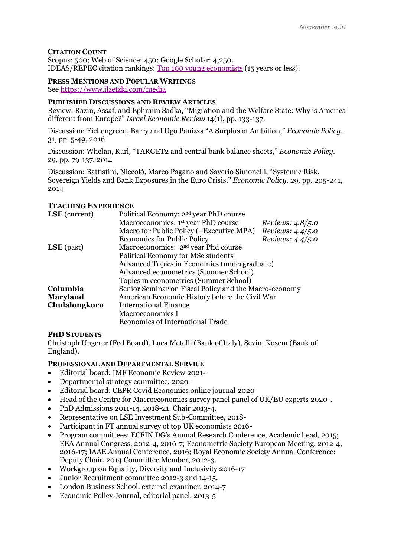### **CITATION COUNT**

Scopus: 500; Web of Science: 450; Google Scholar: 4,250. IDEAS/REPEC citation rankings: [Top 100 young economists](https://ideas.repec.org/top/top.young.html) (15 years or less).

### **PRESS MENTIONS AND POPULAR WRITINGS** See<https://www.ilzetzki.com/media>

### **PUBLISHED DISCUSSIONS AND REVIEW ARTICLES**

Review: Razin, Assaf, and Ephraim Sadka, "Migration and the Welfare State: Why is America different from Europe?" *Israel Economic Review* 14(1), pp. 133-137.

Discussion: Eichengreen, Barry and Ugo Panizza "A Surplus of Ambition," *Economic Policy.*  31, pp. 5-49, 2016

Discussion: Whelan, Karl, "TARGET2 and central bank balance sheets," *Economic Policy.*  29, pp. 79-137, 2014

Discussion: Battistini, Niccolò, Marco Pagano and Saverio Simonelli, "Systemic Risk, Sovereign Yields and Bank Exposures in the Euro Crisis," *Economic Policy.* 29*,* pp. 205-241, 2014

# **TEACHING EXPERIENCE**

| <b>LSE</b> (current) | Political Economy: 2 <sup>nd</sup> year PhD course    |                    |
|----------------------|-------------------------------------------------------|--------------------|
|                      | Macroeconomics: 1 <sup>st</sup> year PhD course       | Reviews: $4.8/5.0$ |
|                      | Macro for Public Policy (+Executive MPA)              | Reviews: $4.4/5.0$ |
|                      | <b>Economics for Public Policy</b>                    | Reviews: $4.4/5.0$ |
| $LSE$ (past)         | Macroeconomics: 2 <sup>nd</sup> year Phd course       |                    |
|                      | Political Economy for MSc students                    |                    |
|                      | Advanced Topics in Economics (undergraduate)          |                    |
|                      | Advanced econometrics (Summer School)                 |                    |
|                      | Topics in econometrics (Summer School)                |                    |
| Columbia             | Senior Seminar on Fiscal Policy and the Macro-economy |                    |
| <b>Maryland</b>      | American Economic History before the Civil War        |                    |
| Chulalongkorn        | <b>International Finance</b>                          |                    |
|                      | Macroeconomics I                                      |                    |
|                      | <b>Economics of International Trade</b>               |                    |

### **PHD STUDENTS**

Christoph Ungerer (Fed Board), Luca Metelli (Bank of Italy), Sevim Kosem (Bank of England).

### **PROFESSIONAL AND DEPARTMENTAL SERVICE**

- Editorial board: IMF Economic Review 2021-
- Departmental strategy committee, 2020-
- Editorial board: CEPR Covid Economics online journal 2020-
- Head of the Centre for Macroeconomics survey panel panel of UK/EU experts 2020-.
- PhD Admissions 2011-14, 2018-21. Chair 2013-4.
- Representative on LSE Investment Sub-Committee, 2018-
- Participant in FT annual survey of top UK economists 2016-
- Program committees: ECFIN DG's Annual Research Conference, Academic head, 2015; EEA Annual Congress, 2012-4, 2016-7; Econometric Society European Meeting, 2012-4, 2016-17; IAAE Annual Conference, 2016; Royal Economic Society Annual Conference: Deputy Chair, 2014 Committee Member, 2012-3.
- Workgroup on Equality, Diversity and Inclusivity 2016-17
- Junior Recruitment committee 2012-3 and 14-15.
- London Business School, external examiner, 2014-7
- Economic Policy Journal, editorial panel, 2013-5